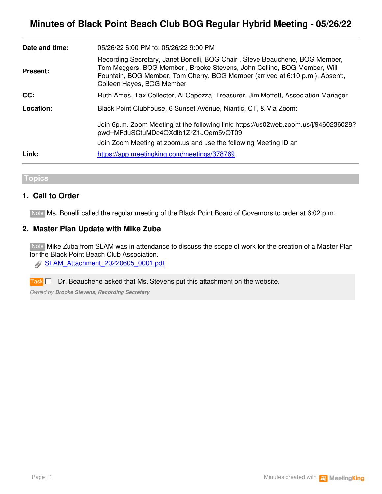|                 | pwd=MFduSCtuMDc4OXdlb1ZrZ1JOem5vQT09<br>Join Zoom Meeting at zoom us and use the following Meeting ID an                                                                                                                                                             |
|-----------------|----------------------------------------------------------------------------------------------------------------------------------------------------------------------------------------------------------------------------------------------------------------------|
|                 | Join 6p.m. Zoom Meeting at the following link: https://us02web.zoom.us/j/9460236028?                                                                                                                                                                                 |
| Location:       | Black Point Clubhouse, 6 Sunset Avenue, Niantic, CT, & Via Zoom:                                                                                                                                                                                                     |
| CC:             | Ruth Ames, Tax Collector, Al Capozza, Treasurer, Jim Moffett, Association Manager                                                                                                                                                                                    |
| <b>Present:</b> | Recording Secretary, Janet Bonelli, BOG Chair, Steve Beauchene, BOG Member,<br>Tom Meggers, BOG Member, Brooke Stevens, John Cellino, BOG Member, Will<br>Fountain, BOG Member, Tom Cherry, BOG Member (arrived at 6:10 p.m.), Absent:,<br>Colleen Hayes, BOG Member |
| Date and time:  | 05/26/22 6:00 PM to: 05/26/22 9:00 PM                                                                                                                                                                                                                                |

**Topics**

## **1. Call to Order**

Note Ms. Bonelli called the regular meeting of the Black Point Board of Governors to order at 6:02 p.m.

## **2. Master Plan Update with Mike Zuba**

Note Mike Zuba from SLAM was in attendance to discuss the scope of work for the creation of a Master Plan for the Black Point Beach Club Association.

[SLAM\\_Attachment\\_20220605\\_0001.pdf](https://app.meetingking.com/uploads/attachments/255421-SLAM_Attachment_20220605_0001-dca5af570ec8c263b1178febe3819e031a37fa28.pdf?1654476320)

Dr. Beauchene asked that Ms. Stevens put this attachment on the website. **Task** 

*Owned by Brooke Stevens, Recording Secretary*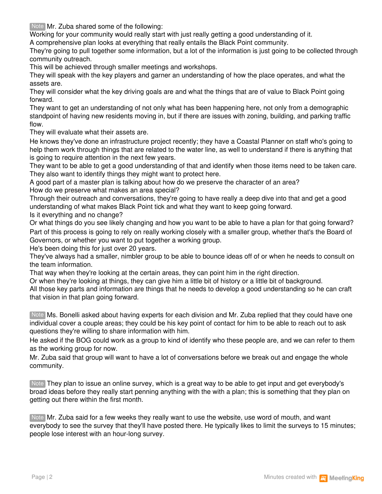Note Mr. Zuba shared some of the following:

Working for your community would really start with just really getting a good understanding of it.

A comprehensive plan looks at everything that really entails the Black Point community.

They're going to pull together some information, but a lot of the information is just going to be collected through community outreach.

This will be achieved through smaller meetings and workshops.

They will speak with the key players and garner an understanding of how the place operates, and what the assets are.

They will consider what the key driving goals are and what the things that are of value to Black Point going forward.

They want to get an understanding of not only what has been happening here, not only from a demographic standpoint of having new residents moving in, but if there are issues with zoning, building, and parking traffic flow.

They will evaluate what their assets are.

He knows they've done an infrastructure project recently; they have a Coastal Planner on staff who's going to help them work through things that are related to the water line, as well to understand if there is anything that is going to require attention in the next few years.

They want to be able to get a good understanding of that and identify when those items need to be taken care. They also want to identify things they might want to protect here.

A good part of a master plan is talking about how do we preserve the character of an area? How do we preserve what makes an area special?

Through their outreach and conversations, they're going to have really a deep dive into that and get a good understanding of what makes Black Point tick and what they want to keep going forward.

Is it everything and no change?

Or what things do you see likely changing and how you want to be able to have a plan for that going forward? Part of this process is going to rely on really working closely with a smaller group, whether that's the Board of Governors, or whether you want to put together a working group.

He's been doing this for just over 20 years.

They've always had a smaller, nimbler group to be able to bounce ideas off of or when he needs to consult on the team information.

That way when they're looking at the certain areas, they can point him in the right direction.

Or when they're looking at things, they can give him a little bit of history or a little bit of background.

All those key parts and information are things that he needs to develop a good understanding so he can craft that vision in that plan going forward.

Note Ms. Bonelli asked about having experts for each division and Mr. Zuba replied that they could have one individual cover a couple areas; they could be his key point of contact for him to be able to reach out to ask questions they're willing to share information with him.

He asked if the BOG could work as a group to kind of identify who these people are, and we can refer to them as the working group for now.

Mr. Zuba said that group will want to have a lot of conversations before we break out and engage the whole community.

They plan to issue an online survey, which is a great way to be able to get input and get everybody's Note broad ideas before they really start penning anything with the with a plan; this is something that they plan on getting out there within the first month.

Note Mr. Zuba said for a few weeks they really want to use the website, use word of mouth, and want everybody to see the survey that they'll have posted there. He typically likes to limit the surveys to 15 minutes; people lose interest with an hour-long survey.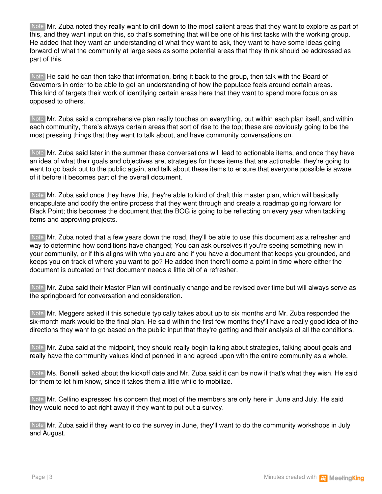Note Mr. Zuba noted they really want to drill down to the most salient areas that they want to explore as part of this, and they want input on this, so that's something that will be one of his first tasks with the working group. He added that they want an understanding of what they want to ask, they want to have some ideas going forward of what the community at large sees as some potential areas that they think should be addressed as part of this.

Note He said he can then take that information, bring it back to the group, then talk with the Board of Governors in order to be able to get an understanding of how the populace feels around certain areas. This kind of targets their work of identifying certain areas here that they want to spend more focus on as opposed to others.

Mr. Zuba said a comprehensive plan really touches on everything, but within each plan itself, and within Note each community, there's always certain areas that sort of rise to the top; these are obviously going to be the most pressing things that they want to talk about, and have community conversations on.

Note Mr. Zuba said later in the summer these conversations will lead to actionable items, and once they have an idea of what their goals and objectives are, strategies for those items that are actionable, they're going to want to go back out to the public again, and talk about these items to ensure that everyone possible is aware of it before it becomes part of the overall document.

Mr. Zuba said once they have this, they're able to kind of draft this master plan, which will basically Note encapsulate and codify the entire process that they went through and create a roadmap going forward for Black Point; this becomes the document that the BOG is going to be reflecting on every year when tackling items and approving projects.

Note Mr. Zuba noted that a few years down the road, they'll be able to use this document as a refresher and way to determine how conditions have changed; You can ask ourselves if you're seeing something new in your community, or if this aligns with who you are and if you have a document that keeps you grounded, and keeps you on track of where you want to go? He added then there'll come a point in time where either the document is outdated or that document needs a little bit of a refresher.

Note Mr. Zuba said their Master Plan will continually change and be revised over time but will always serve as the springboard for conversation and consideration.

Note Mr. Meggers asked if this schedule typically takes about up to six months and Mr. Zuba responded the six-month mark would be the final plan. He said within the first few months they'll have a really good idea of the directions they want to go based on the public input that they're getting and their analysis of all the conditions.

Note Mr. Zuba said at the midpoint, they should really begin talking about strategies, talking about goals and really have the community values kind of penned in and agreed upon with the entire community as a whole.

Note Ms. Bonelli asked about the kickoff date and Mr. Zuba said it can be now if that's what they wish. He said for them to let him know, since it takes them a little while to mobilize.

Note Mr. Cellino expressed his concern that most of the members are only here in June and July. He said they would need to act right away if they want to put out a survey.

Note Mr. Zuba said if they want to do the survey in June, they'll want to do the community workshops in July and August.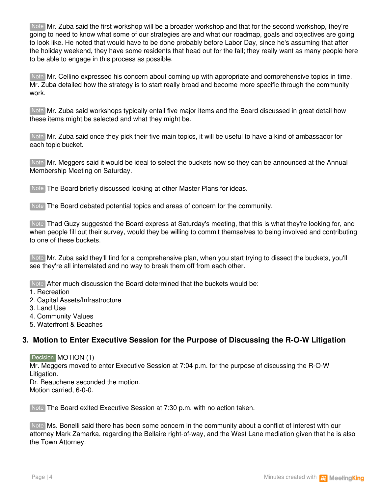Note Mr. Zuba said the first workshop will be a broader workshop and that for the second workshop, they're going to need to know what some of our strategies are and what our roadmap, goals and objectives are going to look like. He noted that would have to be done probably before Labor Day, since he's assuming that after the holiday weekend, they have some residents that head out for the fall; they really want as many people here to be able to engage in this process as possible.

Note Mr. Cellino expressed his concern about coming up with appropriate and comprehensive topics in time. Mr. Zuba detailed how the strategy is to start really broad and become more specific through the community work.

Note Mr. Zuba said workshops typically entail five major items and the Board discussed in great detail how these items might be selected and what they might be.

Mr. Zuba said once they pick their five main topics, it will be useful to have a kind of ambassador for Note each topic bucket.

Note Mr. Meggers said it would be ideal to select the buckets now so they can be announced at the Annual Membership Meeting on Saturday.

Note The Board briefly discussed looking at other Master Plans for ideas.

Note The Board debated potential topics and areas of concern for the community.

Thad Guzy suggested the Board express at Saturday's meeting, that this is what they're looking for, and Note when people fill out their survey, would they be willing to commit themselves to being involved and contributing to one of these buckets.

Note Mr. Zuba said they'll find for a comprehensive plan, when you start trying to dissect the buckets, you'll see they're all interrelated and no way to break them off from each other.

Note After much discussion the Board determined that the buckets would be:

1. Recreation

- 2. Capital Assets/Infrastructure
- 3. Land Use

4. Community Values

5. Waterfront & Beaches

### **3. Motion to Enter Executive Session for the Purpose of Discussing the R-O-W Litigation**

Decision **MOTION** (1)

Mr. Meggers moved to enter Executive Session at 7:04 p.m. for the purpose of discussing the R-O-W Litigation.

Dr. Beauchene seconded the motion. Motion carried, 6-0-0.

Note The Board exited Executive Session at 7:30 p.m. with no action taken.

Note Ms. Bonelli said there has been some concern in the community about a conflict of interest with our attorney Mark Zamarka, regarding the Bellaire right-of-way, and the West Lane mediation given that he is also the Town Attorney.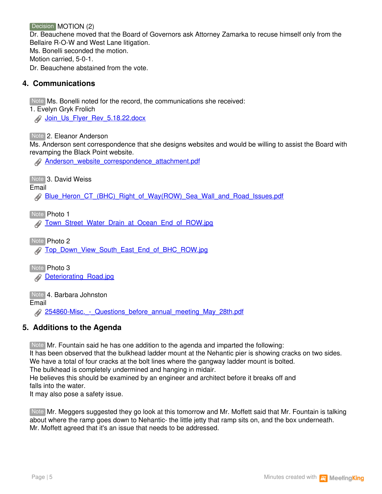Decision MOTION (2)

Dr. Beauchene moved that the Board of Governors ask Attorney Zamarka to recuse himself only from the Bellaire R-O-W and West Lane litigation. Ms. Bonelli seconded the motion. Motion carried, 5-0-1. Dr. Beauchene abstained from the vote.

# **4. Communications**

Note Ms. Bonelli noted for the record, the communications she received:

1. Evelyn Gryk Frolich

**Doin\_Us\_Flyer\_Rev\_5.18.22.docx** 

Note 2. Eleanor Anderson

Ms. Anderson sent correspondence that she designs websites and would be willing to assist the Board with revamping the Black Point website.

[Anderson\\_website\\_correspondence\\_attachment.pdf](https://app.meetingking.com/uploads/attachments/255536-Anderson_website_correspondence_attachment-94cd91bd32d81fc377ae9ca02e7a1140212857c5.pdf?1654558347)

Note 3. David Weiss

Email

[Blue\\_Heron\\_CT\\_\(BHC\)\\_Right\\_of\\_Way\(ROW\)\\_Sea\\_Wall\\_and\\_Road\\_Issues.pdf](https://app.meetingking.com/uploads/attachments/255429-Blue_Heron_CT_%28BHC%29_Right_of_Way%28ROW%29_Sea_Wall_and_Road_Issues-8fec6bb915b5cad1bce48ccfdad10e1305f474e6.pdf?1654488411)

Note Photo 1

**[Town\\_Street\\_Water\\_Drain\\_at\\_Ocean\\_End\\_of\\_ROW.jpg](https://app.meetingking.com/uploads/attachments/255430-Town_Street_Water_Drain_at_Ocean_End_of_ROW-246576b4c477598348fd8eeff841c718722636ab.jpg?1654488437)** 

Note Photo 2

**[Top\\_Down\\_View\\_South\\_East\\_End\\_of\\_BHC\\_ROW.jpg](https://app.meetingking.com/uploads/attachments/255431-Top_Down_View_South_East_End_of_BHC_ROW-ed0a8d971d5b86434b4b2feac142c690fccd8d9a.jpg?1654488461)** 

Note Photo 3 **Deteriorating Road.jpg** 

Note **4. Barbara Johnston** 

Email

254860-Misc. - Questions\_before\_annual\_meeting\_May\_28th.pdf

# **5. Additions to the Agenda**

Note Mr. Fountain said he has one addition to the agenda and imparted the following:

It has been observed that the bulkhead ladder mount at the Nehantic pier is showing cracks on two sides.

We have a total of four cracks at the bolt lines where the gangway ladder mount is bolted.

The bulkhead is completely undermined and hanging in midair.

He believes this should be examined by an engineer and architect before it breaks off and falls into the water.

It may also pose a safety issue.

Note Mr. Meggers suggested they go look at this tomorrow and Mr. Moffett said that Mr. Fountain is talking about where the ramp goes down to Nehantic- the little jetty that ramp sits on, and the box underneath. Mr. Moffett agreed that it's an issue that needs to be addressed.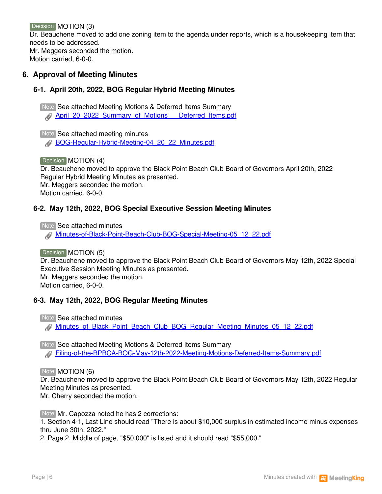Decision MOTION (3)

Dr. Beauchene moved to add one zoning item to the agenda under reports, which is a housekeeping item that needs to be addressed.

Mr. Meggers seconded the motion. Motion carried, 6-0-0.

# **6. Approval of Meeting Minutes**

## **6-1. April 20th, 2022, BOG Regular Hybrid Meeting Minutes**

Note See attached Meeting Motions & Deferred Items Summary

**[April\\_20\\_2022\\_Summary\\_of\\_Motions\\_\\_\\_Deferred\\_Items.pdf](https://app.meetingking.com/uploads/attachments/255534-April_20_2022_Summary_of_Motions___Deferred_Items-ec67e5cc0ca53ae36cd81104da096b8ec46ffa71.pdf?1654558252)** 

Note See attached meeting minutes [BOG-Regular-Hybrid-Meeting-04\\_20\\_22\\_Minutes.pdf](https://app.meetingking.com/uploads/attachments/255535-BOG-Regular-Hybrid-Meeting-04_20_22_Minutes-663d72ef6c33a2a4bcb1cde40fb3759137fec0b9.pdf?1654558306)

Decision **MOTION** (4)

Dr. Beauchene moved to approve the Black Point Beach Club Board of Governors April 20th, 2022 Regular Hybrid Meeting Minutes as presented. Mr. Meggers seconded the motion. Motion carried, 6-0-0.

# **6-2. May 12th, 2022, BOG Special Executive Session Meeting Minutes**

**Note See attached minutes** [Minutes-of-Black-Point-Beach-Club-BOG-Special-Meeting-05\\_12\\_22.pdf](https://app.meetingking.com/uploads/attachments/255528-Minutes-of-Black-Point-Beach-Club-BOG-Special-Meeting-05_12_22-faab7c55170b4239f05f10631f33f6e045c0a988.pdf?1654557982)

Decision **MOTION** (5) Dr. Beauchene moved to approve the Black Point Beach Club Board of Governors May 12th, 2022 Special Executive Session Meeting Minutes as presented. Mr. Meggers seconded the motion. Motion carried, 6-0-0.

### **6-3. May 12th, 2022, BOG Regular Meeting Minutes**

Note See attached minutes

Minutes of Black\_Point\_Beach\_Club\_BOG\_Regular\_Meeting\_Minutes\_05\_12\_22.pdf

Note See attached Meeting Motions & Deferred Items Summary [Filing-of-the-BPBCA-BOG-May-12th-2022-Meeting-Motions-Deferred-Items-Summary.pdf](https://app.meetingking.com/uploads/attachments/255529-Filing-of-the-BPBCA-BOG-May-12th-2022-Meeting-Motions-Deferred-Items-Summary-78f55c4b7ca04d8b7c9aa8d122f5f3aae10c2c8b.pdf?1654558078)

Note **MOTION** (6)

Dr. Beauchene moved to approve the Black Point Beach Club Board of Governors May 12th, 2022 Regular Meeting Minutes as presented.

Mr. Cherry seconded the motion.

Note Mr. Capozza noted he has 2 corrections:

1. Section 4-1, Last Line should read "There is about \$10,000 surplus in estimated income minus expenses thru June 30th, 2022."

2. Page 2, Middle of page, "\$50,000" is listed and it should read "\$55,000."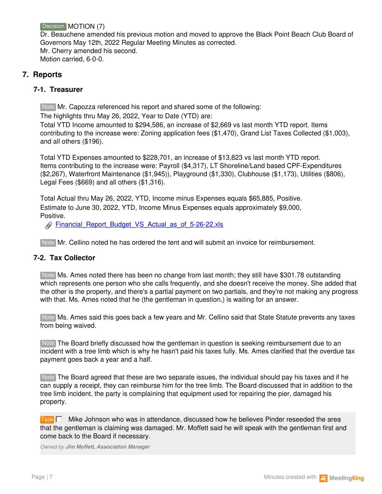Decision **MOTION** (7)

Dr. Beauchene amended his previous motion and moved to approve the Black Point Beach Club Board of Governors May 12th, 2022 Regular Meeting Minutes as corrected. Mr. Cherry amended his second. Motion carried, 6-0-0.

# **7. Reports**

## **7-1. Treasurer**

Note Mr. Capozza referenced his report and shared some of the following:

The highlights thru May 26, 2022, Year to Date (YTD) are:

Total YTD Income amounted to \$294,586, an increase of \$2,669 vs last month YTD report. Items contributing to the increase were: Zoning application fees (\$1,470), Grand List Taxes Collected (\$1,003), and all others (\$196).

Total YTD Expenses amounted to \$228,701, an increase of \$13,823 vs last month YTD report. Items contributing to the increase were: Payroll (\$4,317), LT Shoreline/Land based CPF-Expenditures (\$2,267), Waterfront Maintenance (\$1,945)), Playground (\$1,330), Clubhouse (\$1,173), Utilities (\$806), Legal Fees (\$669) and all others (\$1,316).

Total Actual thru May 26, 2022, YTD, Income minus Expenses equals \$65,885, Positive. Estimate to June 30, 2022, YTD, Income Minus Expenses equals approximately \$9,000, Positive.

[Financial\\_Report\\_Budget\\_VS\\_Actual\\_as\\_of\\_5-26-22.xls](https://app.meetingking.com/uploads/attachments/255428-Financial_Report_Budget_VS_Actual_as_of_5-26-22-1c9f9f4cf6f56d5ed0bd9e94a21e7c4217febe9d.xls?1654487545)

Note Mr. Cellino noted he has ordered the tent and will submit an invoice for reimbursement.

### **7-2. Tax Collector**

Note Ms. Ames noted there has been no change from last month; they still have \$301.78 outstanding which represents one person who she calls frequently, and she doesn't receive the money. She added that the other is the property, and there's a partial payment on two partials, and they're not making any progress with that. Ms. Ames noted that he (the gentleman in question,) is waiting for an answer.

Note Ms. Ames said this goes back a few years and Mr. Cellino said that State Statute prevents any taxes from being waived.

Note The Board briefly discussed how the gentleman in question is seeking reimbursement due to an incident with a tree limb which is why he hasn't paid his taxes fully. Ms. Ames clarified that the overdue tax payment goes back a year and a half.

Note The Board agreed that these are two separate issues, the individual should pay his taxes and if he can supply a receipt, they can reimburse him for the tree limb. The Board discussed that in addition to the tree limb incident, the party is complaining that equipment used for repairing the pier, damaged his property.

Task **□** Mike Johnson who was in attendance, discussed how he believes Pinder reseeded the area that the gentleman is claiming was damaged. Mr. Moffett said he will speak with the gentleman first and come back to the Board if necessary.

*Owned by Jim Moffett, Association Manager*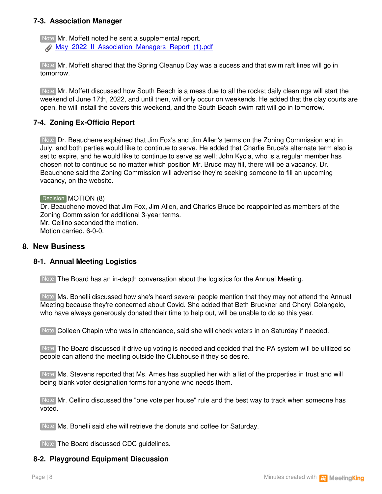#### **7-3. Association Manager**

Note Mr. Moffett noted he sent a supplemental report. [May\\_2022\\_II\\_Association\\_Managers\\_Report\\_\(1\).pdf](https://app.meetingking.com/uploads/attachments/255539-May_2022_II_Association_Managers_Report_%281%29-e2eeb42d8899391afc4e9648f261c2ffa460ac5c.pdf?1654562766)

Note Mr. Moffett shared that the Spring Cleanup Day was a sucess and that swim raft lines will go in tomorrow.

Mr. Moffett discussed how South Beach is a mess due to all the rocks; daily cleanings will start the Note weekend of June 17th, 2022, and until then, will only occur on weekends. He added that the clay courts are open, he will install the covers this weekend, and the South Beach swim raft will go in tomorrow.

#### **7-4. Zoning Ex-Officio Report**

Note Dr. Beauchene explained that Jim Fox's and Jim Allen's terms on the Zoning Commission end in July, and both parties would like to continue to serve. He added that Charlie Bruce's alternate term also is set to expire, and he would like to continue to serve as well; John Kycia, who is a regular member has chosen not to continue so no matter which position Mr. Bruce may fill, there will be a vacancy. Dr. Beauchene said the Zoning Commission will advertise they're seeking someone to fill an upcoming vacancy, on the website.

#### Decision **MOTION** (8)

Dr. Beauchene moved that Jim Fox, Jim Allen, and Charles Bruce be reappointed as members of the Zoning Commission for additional 3-year terms. Mr. Cellino seconded the motion. Motion carried, 6-0-0.

#### **8. New Business**

#### **8-1. Annual Meeting Logistics**

Note The Board has an in-depth conversation about the logistics for the Annual Meeting.

Note Ms. Bonelli discussed how she's heard several people mention that they may not attend the Annual Meeting because they're concerned about Covid. She added that Beth Bruckner and Cheryl Colangelo, who have always generously donated their time to help out, will be unable to do so this year.

Note Colleen Chapin who was in attendance, said she will check voters in on Saturday if needed.

Note The Board discussed if drive up voting is needed and decided that the PA system will be utilized so people can attend the meeting outside the Clubhouse if they so desire.

Note Ms. Stevens reported that Ms. Ames has supplied her with a list of the properties in trust and will being blank voter designation forms for anyone who needs them.

Note Mr. Cellino discussed the "one vote per house" rule and the best way to track when someone has voted.

Note Ms. Bonelli said she will retrieve the donuts and coffee for Saturday.

Note The Board discussed CDC guidelines.

### **8-2. Playground Equipment Discussion**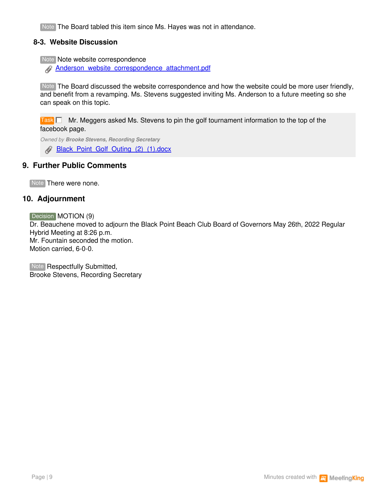Note The Board tabled this item since Ms. Hayes was not in attendance.

#### **8-3. Website Discussion**

Note Note website correspondence

[Anderson\\_website\\_correspondence\\_attachment.pdf](https://app.meetingking.com/uploads/attachments/255540-Anderson_website_correspondence_attachment-1305539092c68ac3473d5af455e92a8845f82d96.pdf?1654566270)

Note The Board discussed the website correspondence and how the website could be more user friendly, and benefit from a revamping. Ms. Stevens suggested inviting Ms. Anderson to a future meeting so she can speak on this topic.

Task **[** ] Mr. Meggers asked Ms. Stevens to pin the golf tournament information to the top of the facebook page.

*Owned by Brooke Stevens, Recording Secretary*

[Black\\_Point\\_Golf\\_Outing\\_\(2\)\\_\(1\).docx](https://app.meetingking.com/uploads/attachments/255544-Black_Point_Golf_Outing_%282%29_%281%29-3386ad18adec13c08d618b347c5a3b6b1fa0fa92.docx?1654569447)

## **9. Further Public Comments**

Note There were none.

### **10. Adjournment**

Decision **MOTION** (9) Dr. Beauchene moved to adjourn the Black Point Beach Club Board of Governors May 26th, 2022 Regular Hybrid Meeting at 8:26 p.m. Mr. Fountain seconded the motion. Motion carried, 6-0-0.

Note Respectfully Submitted, Brooke Stevens, Recording Secretary